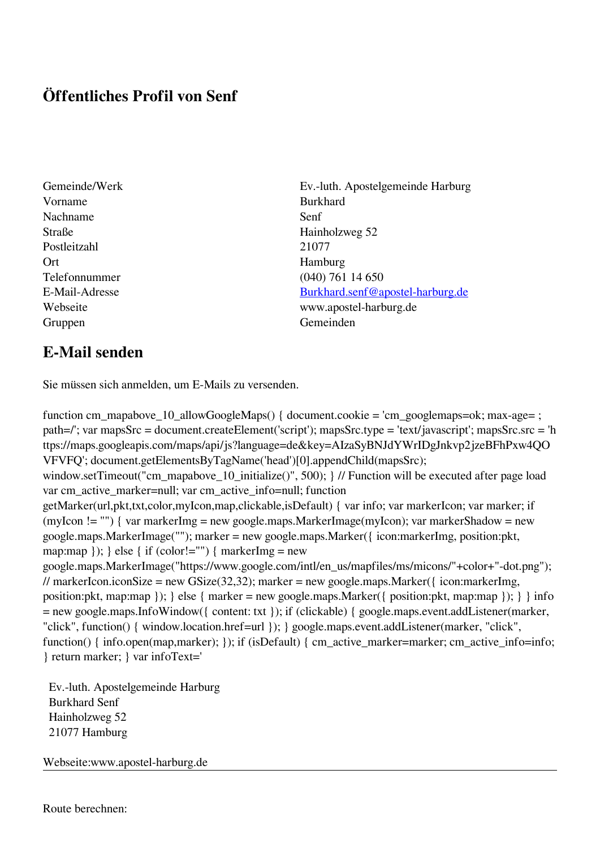## **Öffentliches Profil von Senf**

- Gemeinde/Werk Ev.-luth. Apostelgemeinde Harburg Vorname Burkhard Nachname Senf Straße Hainholzweg 52 Postleitzahl 21077 Ort Hamburg Gruppen Gemeinden Gemeinden Gemeinden Gemeinden Gemeinden Gemeinden Gemeinden Gemeinden Gemeinden Gemeinden G
- Telefonnummer (040) 761 14 650 E-Mail-Adresse [Burkhard.senf@apostel-harburg.de](mailto:Burkhard.senf@apostel-harburg.de) Webseite www.apostel-harburg.de

## **E-Mail senden**

Sie müssen sich anmelden, um E-Mails zu versenden.

function cm\_mapabove\_10\_allowGoogleMaps() { document.cookie = 'cm\_googlemaps=ok; max-age= ; path=/'; var mapsSrc = document.createElement('script'); mapsSrc.type = 'text/javascript'; mapsSrc.src = 'h ttps://maps.googleapis.com/maps/api/js?language=de&key=AIzaSyBNJdYWrIDgJnkvp2jzeBFhPxw4QO VFVFQ'; document.getElementsByTagName('head')[0].appendChild(mapsSrc); window.setTimeout("cm\_mapabove\_10\_initialize()", 500); } // Function will be executed after page load var cm\_active\_marker=null; var cm\_active\_info=null; function getMarker(url,pkt,txt,color,myIcon,map,clickable,isDefault) { var info; var markerIcon; var marker; if (myIcon != "") { var markerImg = new google.maps.MarkerImage(myIcon); var markerShadow = new google.maps.MarkerImage(""); marker = new google.maps.Marker({ icon:markerImg, position:pkt, map:map  $\}$ ;  $\}$  else  $\{$  if (color!="")  $\{$  markerImg = new google.maps.MarkerImage("https://www.google.com/intl/en\_us/mapfiles/ms/micons/"+color+"-dot.png"); // markerIcon.iconSize = new GSize(32,32); marker = new google.maps.Marker( $\{$  icon:markerImg, position:pkt, map:map }); } else { marker = new google.maps.Marker({ position:pkt, map:map }); } } info = new google.maps.InfoWindow({ content: txt }); if (clickable) { google.maps.event.addListener(marker, "click", function() { window.location.href=url }); } google.maps.event.addListener(marker, "click", function() { info.open(map,marker); }); if (isDefault) { cm\_active\_marker=marker; cm\_active\_info=info; } return marker; } var infoText='

 Ev.-luth. Apostelgemeinde Harburg Burkhard Senf Hainholzweg 52 21077 Hamburg

Webseite:www.apostel-harburg.de